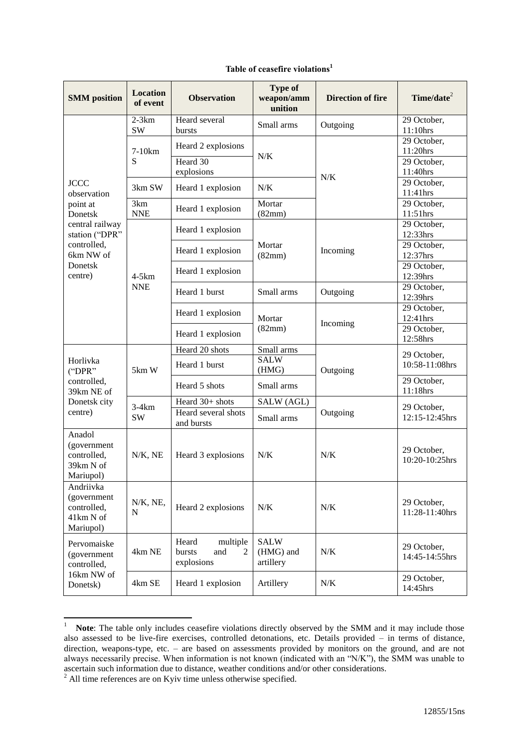## **Table of ceasefire violations<sup>1</sup>**

| <b>SMM</b> position                                                                                                                      | <b>Location</b><br>of event | <b>Observation</b>                                    | <b>Type of</b><br>weapon/amm<br>unition | <b>Direction of fire</b> | Time/date <sup>2</sup>        |
|------------------------------------------------------------------------------------------------------------------------------------------|-----------------------------|-------------------------------------------------------|-----------------------------------------|--------------------------|-------------------------------|
| <b>JCCC</b><br>observation<br>point at<br>Donetsk<br>central railway<br>station ("DPR"<br>controlled,<br>6km NW of<br>Donetsk<br>centre) | $2-3km$<br><b>SW</b>        | Heard several<br>bursts                               | Small arms                              | Outgoing                 | 29 October,<br>11:10hrs       |
|                                                                                                                                          | 7-10 <sub>km</sub><br>S     | Heard 2 explosions                                    | N/K                                     | N/K                      | 29 October,<br>11:20hrs       |
|                                                                                                                                          |                             | Heard 30<br>explosions                                |                                         |                          | 29 October,<br>11:40hrs       |
|                                                                                                                                          | 3km SW                      | Heard 1 explosion                                     | N/K                                     |                          | $29$ October,<br>11:41hrs     |
|                                                                                                                                          | 3km<br><b>NNE</b>           | Heard 1 explosion                                     | Mortar<br>(82mm)                        |                          | 29 October,<br>11:51hrs       |
|                                                                                                                                          | $4-5km$<br><b>NNE</b>       | Heard 1 explosion                                     | Mortar<br>(82mm)                        | Incoming                 | 29 October,<br>12:33hrs       |
|                                                                                                                                          |                             | Heard 1 explosion                                     |                                         |                          | 29 October,<br>12:37hrs       |
|                                                                                                                                          |                             | Heard 1 explosion                                     |                                         |                          | 29 October,<br>12:39hrs       |
|                                                                                                                                          |                             | Heard 1 burst                                         | Small arms                              | Outgoing                 | 29 October,<br>12:39hrs       |
|                                                                                                                                          |                             | Heard 1 explosion                                     | Mortar                                  | Incoming                 | 29 October,<br>12:41hrs       |
|                                                                                                                                          |                             | Heard 1 explosion                                     | (82mm)                                  |                          | 29 October,<br>12:58hrs       |
| Horlivka<br>("DPR"<br>controlled,<br>39km NE of<br>Donetsk city<br>centre)                                                               | 5km W                       | Heard 20 shots                                        | Small arms                              | Outgoing                 | 29 October,<br>10:58-11:08hrs |
|                                                                                                                                          |                             | Heard 1 burst                                         | <b>SALW</b><br>(HMG)                    |                          |                               |
|                                                                                                                                          |                             | Heard 5 shots                                         | Small arms                              |                          | 29 October,<br>11:18hrs       |
|                                                                                                                                          | $3-4km$<br><b>SW</b>        | Heard 30+ shots                                       | SALW (AGL)                              | Outgoing                 | 29 October,<br>12:15-12:45hrs |
|                                                                                                                                          |                             | Heard several shots<br>and bursts                     | Small arms                              |                          |                               |
| Anadol<br>(government<br>controlled,<br>39km N of<br>Mariupol)                                                                           | $N/K$ , NE                  | Heard 3 explosions                                    | N/K                                     | N/K                      | 29 October,<br>10:20-10:25hrs |
| Andriivka<br>(government<br>controlled,<br>41km N of<br>Mariupol)                                                                        | N/K, NE,<br>N               | Heard 2 explosions                                    | N/K                                     | N/K                      | 29 October,<br>11:28-11:40hrs |
| Pervomaiske<br>(government<br>controlled,<br>16km NW of<br>Donetsk)                                                                      | 4km NE                      | Heard<br>multiple<br>bursts<br>and<br>2<br>explosions | <b>SALW</b><br>(HMG) and<br>artillery   | N/K                      | 29 October,<br>14:45-14:55hrs |
|                                                                                                                                          | 4km SE                      | Heard 1 explosion                                     | Artillery                               | $N/K$                    | 29 October,<br>14:45hrs       |

 $\frac{1}{1}$  **Note**: The table only includes ceasefire violations directly observed by the SMM and it may include those also assessed to be live-fire exercises, controlled detonations, etc. Details provided – in terms of distance, direction, weapons-type, etc. – are based on assessments provided by monitors on the ground, and are not always necessarily precise. When information is not known (indicated with an "N/K"), the SMM was unable to ascertain such information due to distance, weather conditions and/or other considerations.

 $2$  All time references are on Kyiv time unless otherwise specified.